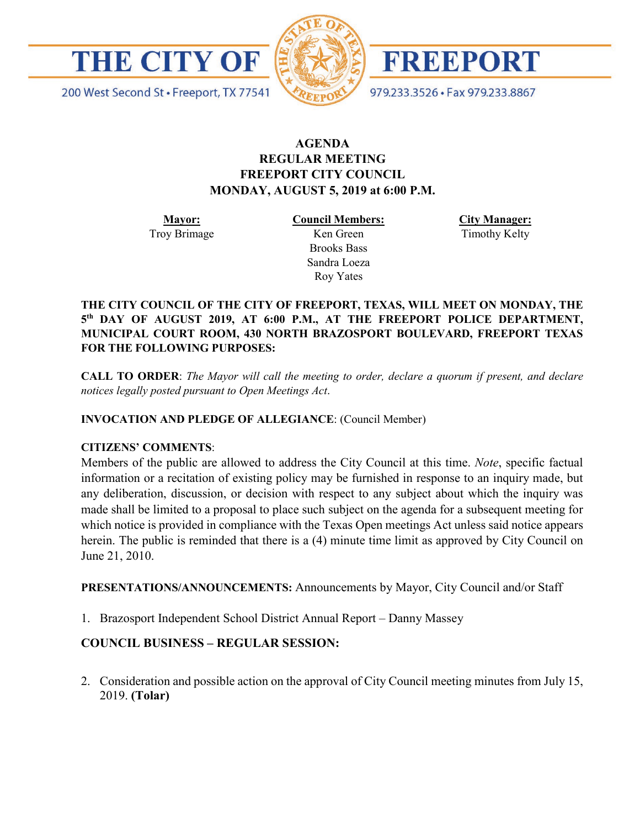

200 West Second St · Freeport, TX 77541



**FREEPORT** 

979.233.3526 · Fax 979.233.8867

# **AGENDA REGULAR MEETING FREEPORT CITY COUNCIL MONDAY, AUGUST 5, 2019 at 6:00 P.M.**

**Mayor:** Troy Brimage **Council Members:** Ken Green

> Brooks Bass Sandra Loeza Roy Yates

**City Manager:**

Timothy Kelty

**THE CITY COUNCIL OF THE CITY OF FREEPORT, TEXAS, WILL MEET ON MONDAY, THE 5th DAY OF AUGUST 2019, AT 6:00 P.M., AT THE FREEPORT POLICE DEPARTMENT, MUNICIPAL COURT ROOM, 430 NORTH BRAZOSPORT BOULEVARD, FREEPORT TEXAS FOR THE FOLLOWING PURPOSES:**

**CALL TO ORDER**: *The Mayor will call the meeting to order, declare a quorum if present, and declare notices legally posted pursuant to Open Meetings Act*.

**INVOCATION AND PLEDGE OF ALLEGIANCE**: (Council Member)

## **CITIZENS' COMMENTS**:

Members of the public are allowed to address the City Council at this time. *Note*, specific factual information or a recitation of existing policy may be furnished in response to an inquiry made, but any deliberation, discussion, or decision with respect to any subject about which the inquiry was made shall be limited to a proposal to place such subject on the agenda for a subsequent meeting for which notice is provided in compliance with the Texas Open meetings Act unless said notice appears herein. The public is reminded that there is a (4) minute time limit as approved by City Council on June 21, 2010.

**PRESENTATIONS/ANNOUNCEMENTS:** Announcements by Mayor, City Council and/or Staff

1. Brazosport Independent School District Annual Report – Danny Massey

## **COUNCIL BUSINESS – REGULAR SESSION:**

2. Consideration and possible action on the approval of City Council meeting minutes from July 15, 2019. **(Tolar)**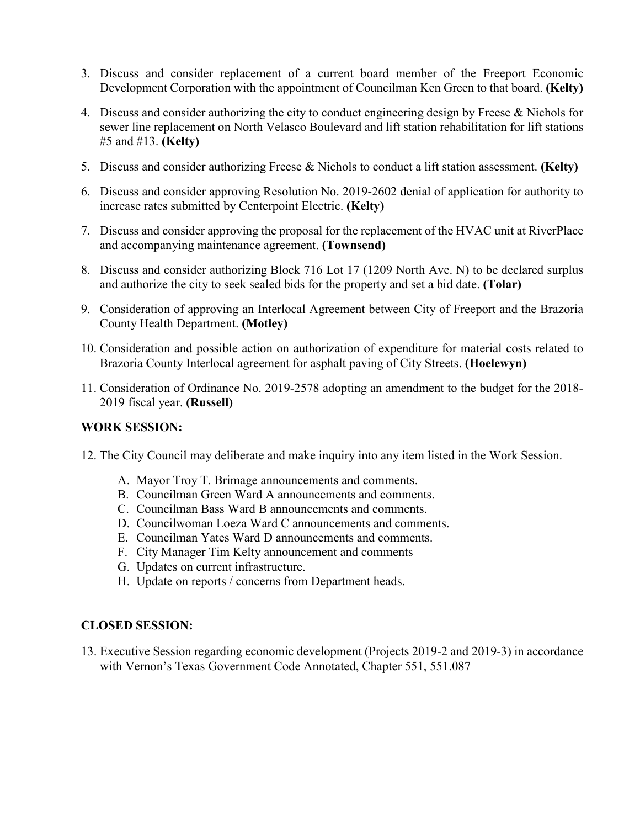- 3. Discuss and consider replacement of a current board member of the Freeport Economic Development Corporation with the appointment of Councilman Ken Green to that board. **(Kelty)**
- 4. Discuss and consider authorizing the city to conduct engineering design by Freese & Nichols for sewer line replacement on North Velasco Boulevard and lift station rehabilitation for lift stations #5 and #13. **(Kelty)**
- 5. Discuss and consider authorizing Freese & Nichols to conduct a lift station assessment. **(Kelty)**
- 6. Discuss and consider approving Resolution No. 2019-2602 denial of application for authority to increase rates submitted by Centerpoint Electric. **(Kelty)**
- 7. Discuss and consider approving the proposal for the replacement of the HVAC unit at RiverPlace and accompanying maintenance agreement. **(Townsend)**
- 8. Discuss and consider authorizing Block 716 Lot 17 (1209 North Ave. N) to be declared surplus and authorize the city to seek sealed bids for the property and set a bid date. **(Tolar)**
- 9. Consideration of approving an Interlocal Agreement between City of Freeport and the Brazoria County Health Department. **(Motley)**
- 10. Consideration and possible action on authorization of expenditure for material costs related to Brazoria County Interlocal agreement for asphalt paving of City Streets. **(Hoelewyn)**
- 11. Consideration of Ordinance No. 2019-2578 adopting an amendment to the budget for the 2018- 2019 fiscal year. **(Russell)**

#### **WORK SESSION:**

- 12. The City Council may deliberate and make inquiry into any item listed in the Work Session.
	- A. Mayor Troy T. Brimage announcements and comments.
	- B. Councilman Green Ward A announcements and comments.
	- C. Councilman Bass Ward B announcements and comments.
	- D. Councilwoman Loeza Ward C announcements and comments.
	- E. Councilman Yates Ward D announcements and comments.
	- F. City Manager Tim Kelty announcement and comments
	- G. Updates on current infrastructure.
	- H. Update on reports / concerns from Department heads.

#### **CLOSED SESSION:**

13. Executive Session regarding economic development (Projects 2019-2 and 2019-3) in accordance with Vernon's Texas Government Code Annotated, Chapter 551, 551.087